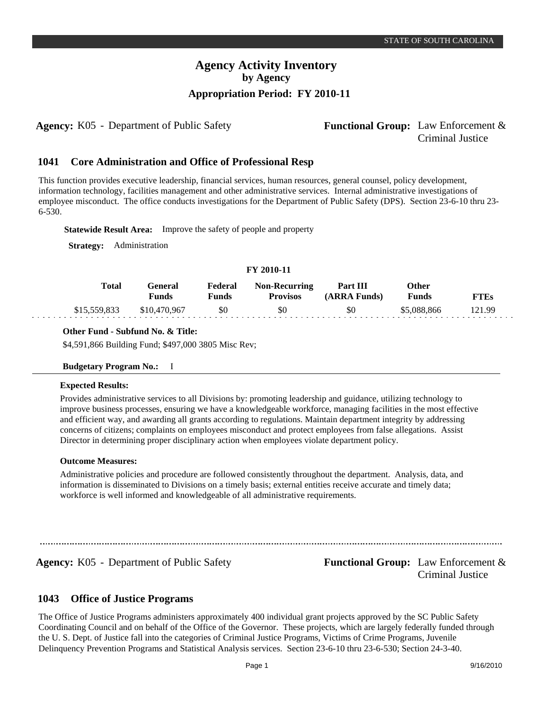**Agency:** K05 - Department of Public Safety **- Functional Group:** Law Enforcement &

# Criminal Justice

#### **Core Administration and Office of Professional Resp 1041**

This function provides executive leadership, financial services, human resources, general counsel, policy development, information technology, facilities management and other administrative services. Internal administrative investigations of employee misconduct. The office conducts investigations for the Department of Public Safety (DPS). Section 23-6-10 thru 23- 6-530.

**Statewide Result Area:** Improve the safety of people and property

**Strategy:** Administration

#### **FY 2010-11**

| <b>Total</b> | General<br>Funds | Federal<br>Funds | <b>Non-Recurring</b><br><b>Provisos</b> | Part III<br>(ARRA Funds) | Other<br><b>Funds</b> | <b>FTEs</b> |
|--------------|------------------|------------------|-----------------------------------------|--------------------------|-----------------------|-------------|
| \$15,559,833 | \$10,470,967     | \$0              | \$0                                     | \$0                      | \$5,088,866           | 121.99      |

**Other Fund - Subfund No. & Title:**

\$4,591,866 Building Fund; \$497,000 3805 Misc Rev;

### **Budgetary Program No.:** I

### **Expected Results:**

Provides administrative services to all Divisions by: promoting leadership and guidance, utilizing technology to improve business processes, ensuring we have a knowledgeable workforce, managing facilities in the most effective and efficient way, and awarding all grants according to regulations. Maintain department integrity by addressing concerns of citizens; complaints on employees misconduct and protect employees from false allegations. Assist Director in determining proper disciplinary action when employees violate department policy.

### **Outcome Measures:**

Administrative policies and procedure are followed consistently throughout the department. Analysis, data, and information is disseminated to Divisions on a timely basis; external entities receive accurate and timely data; workforce is well informed and knowledgeable of all administrative requirements.

Agency: K05 - Department of Public Safety **Functional Group:** Law Enforcement & Criminal Justice

#### **Office of Justice Programs 1043**

The Office of Justice Programs administers approximately 400 individual grant projects approved by the SC Public Safety Coordinating Council and on behalf of the Office of the Governor. These projects, which are largely federally funded through the U. S. Dept. of Justice fall into the categories of Criminal Justice Programs, Victims of Crime Programs, Juvenile Delinquency Prevention Programs and Statistical Analysis services. Section 23-6-10 thru 23-6-530; Section 24-3-40.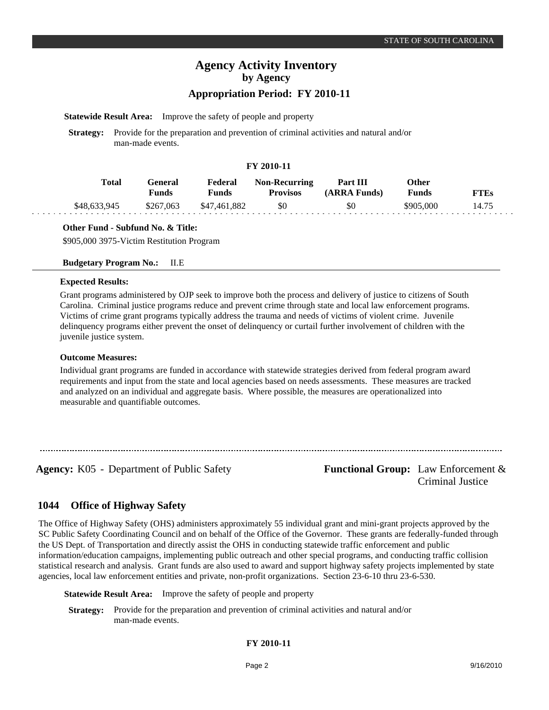## **Statewide Result Area:** Improve the safety of people and property

**Strategy:** Provide for the preparation and prevention of criminal activities and natural and/or man-made events.

#### **FY 2010-11**

| Total        | General)<br>Funds | Federal<br>Funds | <b>Non-Recurring</b><br><b>Provisos</b> | Part III<br>(ARRA Funds) | Other<br>Funds | <b>FTEs</b> |
|--------------|-------------------|------------------|-----------------------------------------|--------------------------|----------------|-------------|
| \$48,633,945 | \$267,063         | \$47,461,882     | \$0                                     | \$0                      | \$905,000      | 14.75       |

### **Other Fund - Subfund No. & Title:**

\$905,000 3975-Victim Restitution Program

#### **Budgetary Program No.:** II.E

#### **Expected Results:**

Grant programs administered by OJP seek to improve both the process and delivery of justice to citizens of South Carolina. Criminal justice programs reduce and prevent crime through state and local law enforcement programs. Victims of crime grant programs typically address the trauma and needs of victims of violent crime. Juvenile delinquency programs either prevent the onset of delinquency or curtail further involvement of children with the juvenile justice system.

#### **Outcome Measures:**

Individual grant programs are funded in accordance with statewide strategies derived from federal program award requirements and input from the state and local agencies based on needs assessments. These measures are tracked and analyzed on an individual and aggregate basis. Where possible, the measures are operationalized into measurable and quantifiable outcomes.

**Agency:** K05 - Department of Public Safety **- Functional Group:** Law Enforcement & Criminal Justice

#### **Office of Highway Safety 1044**

The Office of Highway Safety (OHS) administers approximately 55 individual grant and mini-grant projects approved by the SC Public Safety Coordinating Council and on behalf of the Office of the Governor. These grants are federally-funded through the US Dept. of Transportation and directly assist the OHS in conducting statewide traffic enforcement and public information/education campaigns, implementing public outreach and other special programs, and conducting traffic collision statistical research and analysis. Grant funds are also used to award and support highway safety projects implemented by state agencies, local law enforcement entities and private, non-profit organizations. Section 23-6-10 thru 23-6-530.

**Statewide Result Area:** Improve the safety of people and property

**Strategy:** Provide for the preparation and prevention of criminal activities and natural and/or man-made events.

### **FY 2010-11**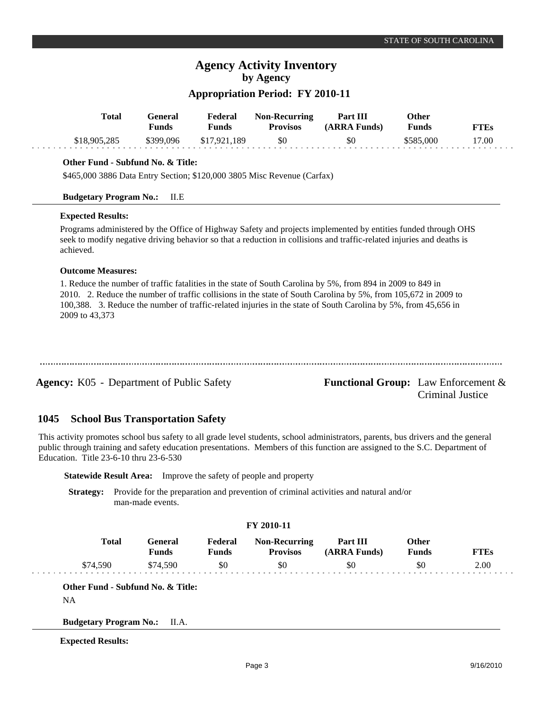## **Appropriation Period: FY 2010-11**

| Total        | General<br>Funds | Federal<br><b>Funds</b> | <b>Non-Recurring</b><br><b>Provisos</b> | Part III<br>(ARRA Funds) | Other<br><b>Funds</b> | FTEs  |
|--------------|------------------|-------------------------|-----------------------------------------|--------------------------|-----------------------|-------|
| \$18,905,285 | \$399.096        | \$17,921,189            | \$0                                     | \$0                      | \$585,000             | 17.00 |

### **Other Fund - Subfund No. & Title:**

\$465,000 3886 Data Entry Section; \$120,000 3805 Misc Revenue (Carfax)

#### **Budgetary Program No.:** II.E

#### **Expected Results:**

Programs administered by the Office of Highway Safety and projects implemented by entities funded through OHS seek to modify negative driving behavior so that a reduction in collisions and traffic-related injuries and deaths is achieved.

### **Outcome Measures:**

1. Reduce the number of traffic fatalities in the state of South Carolina by 5%, from 894 in 2009 to 849 in 2010.2. Reduce the number of traffic collisions in the state of South Carolina by 5%, from 105,672 in 2009 to 100,388.3. Reduce the number of traffic-related injuries in the state of South Carolina by 5%, from 45,656 in 2009 to 43,373

**Agency:** K05 - Department of Public Safety **- Functional Group:** Law Enforcement &

Criminal Justice

#### **School Bus Transportation Safety 1045**

This activity promotes school bus safety to all grade level students, school administrators, parents, bus drivers and the general public through training and safety education presentations. Members of this function are assigned to the S.C. Department of Education. Title 23-6-10 thru 23-6-530

**Statewide Result Area:** Improve the safety of people and property

**Strategy:** Provide for the preparation and prevention of criminal activities and natural and/or man-made events.

### **FY 2010-11**

| Total | General<br><b>Funds</b> | Federal<br>Funds | <b>Non-Recurring</b><br><b>Provisos</b> | Part III<br>(ARRA Funds) | <b>Other</b><br>$F$ unds | $T$ $T$ $E$ s |
|-------|-------------------------|------------------|-----------------------------------------|--------------------------|--------------------------|---------------|
|       | 74.590                  | \$0              | \$0                                     | \$0                      | \$0                      | 2.00          |

**Other Fund - Subfund No. & Title:**

NA

**Budgetary Program No.:** II.A.

**Expected Results:**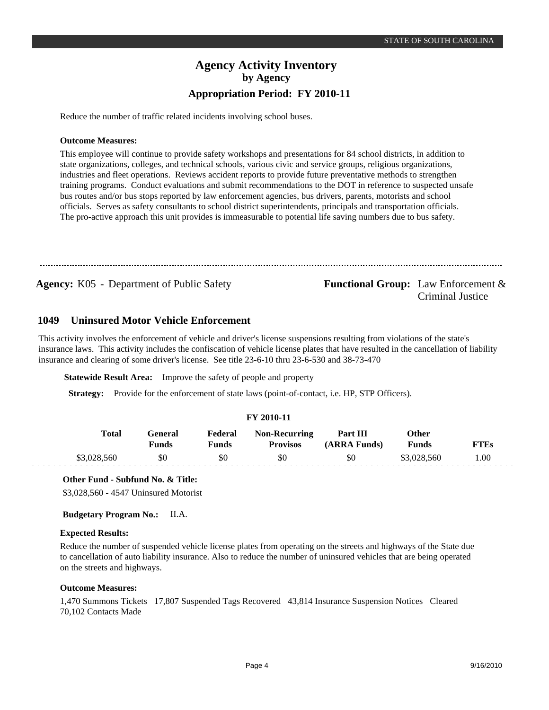Reduce the number of traffic related incidents involving school buses.

### **Outcome Measures:**

This employee will continue to provide safety workshops and presentations for 84 school districts, in addition to state organizations, colleges, and technical schools, various civic and service groups, religious organizations, industries and fleet operations. Reviews accident reports to provide future preventative methods to strengthen training programs. Conduct evaluations and submit recommendations to the DOT in reference to suspected unsafe bus routes and/or bus stops reported by law enforcement agencies, bus drivers, parents, motorists and school officials. Serves as safety consultants to school district superintendents, principals and transportation officials. The pro-active approach this unit provides is immeasurable to potential life saving numbers due to bus safety.

**Agency:** K05 - Department of Public Safety **- Functional Group:** Law Enforcement &

Criminal Justice

#### **Uninsured Motor Vehicle Enforcement 1049**

This activity involves the enforcement of vehicle and driver's license suspensions resulting from violations of the state's insurance laws. This activity includes the confiscation of vehicle license plates that have resulted in the cancellation of liability insurance and clearing of some driver's license. See title 23-6-10 thru 23-6-530 and 38-73-470

**Statewide Result Area:** Improve the safety of people and property

**Strategy:** Provide for the enforcement of state laws (point-of-contact, i.e. HP, STP Officers).

### **FY 2010-11**

| Total       | General<br>Funds | Federal<br>Funds | <b>Non-Recurring</b><br><b>Provisos</b> | Part III<br>(ARRA Funds) | Other<br>Funds | FTEs |
|-------------|------------------|------------------|-----------------------------------------|--------------------------|----------------|------|
| \$3,028,560 | \$0              | \$0              | \$0                                     | \$0                      | \$3,028,560    | .00  |

**Other Fund - Subfund No. & Title:**

\$3,028,560 - 4547 Uninsured Motorist

**Budgetary Program No.:** II.A.

### **Expected Results:**

Reduce the number of suspended vehicle license plates from operating on the streets and highways of the State due to cancellation of auto liability insurance. Also to reduce the number of uninsured vehicles that are being operated on the streets and highways.

### **Outcome Measures:**

1,470 Summons Tickets 17,807 Suspended Tags Recovered 43,814 Insurance Suspension Notices Cleared 70,102 Contacts Made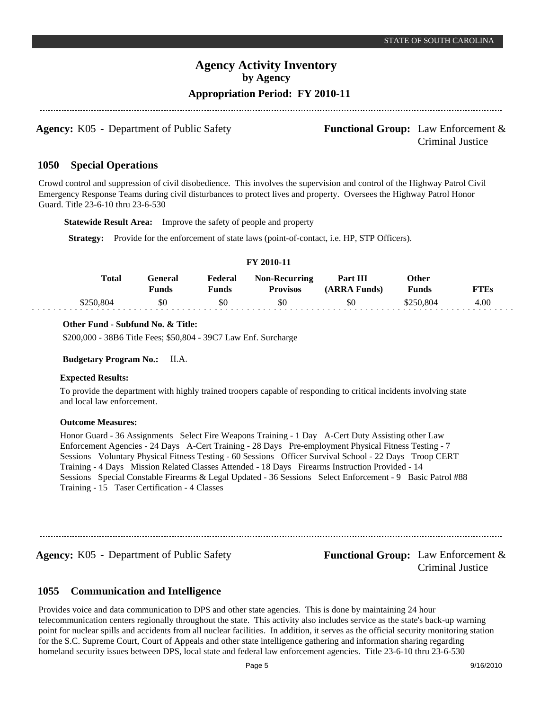### **Appropriation Period: FY 2010-11**

**Agency:** K05 - Department of Public Safety **- Functional Group:** Law Enforcement &

Criminal Justice

#### **Special Operations 1050**

Crowd control and suppression of civil disobedience. This involves the supervision and control of the Highway Patrol Civil Emergency Response Teams during civil disturbances to protect lives and property. Oversees the Highway Patrol Honor Guard. Title 23-6-10 thru 23-6-530

**Statewide Result Area:** Improve the safety of people and property

**Strategy:** Provide for the enforcement of state laws (point-of-contact, i.e. HP, STP Officers).

| <b>Total</b> | General<br>Funds | Federal<br>Funds | <b>Non-Recurring</b><br><b>Provisos</b> | Part III<br>(ARRA Funds) | Other<br>Funds | TTEs |  |
|--------------|------------------|------------------|-----------------------------------------|--------------------------|----------------|------|--|
| \$250.804    | \$0              | \$0              | \$0                                     | \$0                      | \$250.804      | 4.00 |  |

**FY 2010-11**

### **Other Fund - Subfund No. & Title:**

\$200,000 - 38B6 Title Fees; \$50,804 - 39C7 Law Enf. Surcharge

#### **Budgetary Program No.:** II.A.

#### **Expected Results:**

To provide the department with highly trained troopers capable of responding to critical incidents involving state and local law enforcement.

### **Outcome Measures:**

Honor Guard - 36 Assignments Select Fire Weapons Training - 1 Day A-Cert Duty Assisting other Law Enforcement Agencies - 24 Days A-Cert Training - 28 Days Pre-employment Physical Fitness Testing - 7 Sessions Voluntary Physical Fitness Testing - 60 Sessions Officer Survival School - 22 Days Troop CERT Training - 4 Days Mission Related Classes Attended - 18 Days Firearms Instruction Provided - 14 Sessions Special Constable Firearms & Legal Updated - 36 Sessions Select Enforcement - 9 Basic Patrol #88 Training - 15 Taser Certification - 4 Classes

**Agency:** K05 - Department of Public Safety **- Functional Group:** Law Enforcement &

Criminal Justice

#### **Communication and Intelligence 1055**

Provides voice and data communication to DPS and other state agencies. This is done by maintaining 24 hour telecommunication centers regionally throughout the state. This activity also includes service as the state's back-up warning point for nuclear spills and accidents from all nuclear facilities. In addition, it serves as the official security monitoring station for the S.C. Supreme Court, Court of Appeals and other state intelligence gathering and information sharing regarding homeland security issues between DPS, local state and federal law enforcement agencies. Title 23-6-10 thru 23-6-530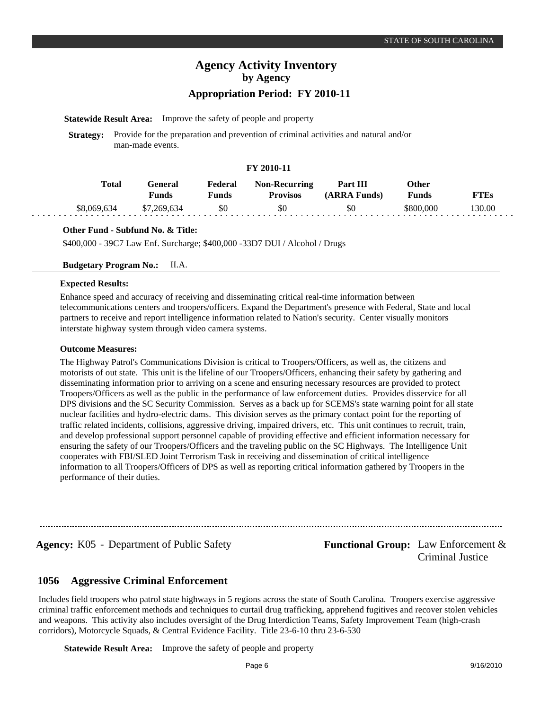#### **Statewide Result Area:** Improve the safety of people and property

**Strategy:** Provide for the preparation and prevention of criminal activities and natural and/or man-made events.

### **FY 2010-11**

| <b>Total</b> | General<br>Funds | Federal<br><b>Funds</b> | <b>Non-Recurring</b><br><b>Provisos</b> | Part III<br>(ARRA Funds) | Other<br><b>Funds</b> | <b>FTEs</b> |
|--------------|------------------|-------------------------|-----------------------------------------|--------------------------|-----------------------|-------------|
| \$8.069.634  | \$7,269,634      | \$0                     | \$0                                     | \$0                      | \$800,000             | 30.00       |

#### **Other Fund - Subfund No. & Title:**

\$400,000 - 39C7 Law Enf. Surcharge; \$400,000 -33D7 DUI / Alcohol / Drugs

#### **Budgetary Program No.:** II.A.

#### **Expected Results:**

Enhance speed and accuracy of receiving and disseminating critical real-time information between telecommunications centers and troopers/officers. Expand the Department's presence with Federal, State and local partners to receive and report intelligence information related to Nation's security. Center visually monitors interstate highway system through video camera systems.

#### **Outcome Measures:**

The Highway Patrol's Communications Division is critical to Troopers/Officers, as well as, the citizens and motorists of out state. This unit is the lifeline of our Troopers/Officers, enhancing their safety by gathering and disseminating information prior to arriving on a scene and ensuring necessary resources are provided to protect Troopers/Officers as well as the public in the performance of law enforcement duties. Provides disservice for all DPS divisions and the SC Security Commission. Serves as a back up for SCEMS's state warning point for all state nuclear facilities and hydro-electric dams. This division serves as the primary contact point for the reporting of traffic related incidents, collisions, aggressive driving, impaired drivers, etc. This unit continues to recruit, train, and develop professional support personnel capable of providing effective and efficient information necessary for ensuring the safety of our Troopers/Officers and the traveling public on the SC Highways. The Intelligence Unit cooperates with FBI/SLED Joint Terrorism Task in receiving and dissemination of critical intelligence information to all Troopers/Officers of DPS as well as reporting critical information gathered by Troopers in the performance of their duties.

**Agency:** K05 - Department of Public Safety **- Functional Group:** Law Enforcement &

Criminal Justice

#### **Aggressive Criminal Enforcement 1056**

Includes field troopers who patrol state highways in 5 regions across the state of South Carolina. Troopers exercise aggressive criminal traffic enforcement methods and techniques to curtail drug trafficking, apprehend fugitives and recover stolen vehicles and weapons. This activity also includes oversight of the Drug Interdiction Teams, Safety Improvement Team (high-crash corridors), Motorcycle Squads, & Central Evidence Facility. Title 23-6-10 thru 23-6-530

**Statewide Result Area:** Improve the safety of people and property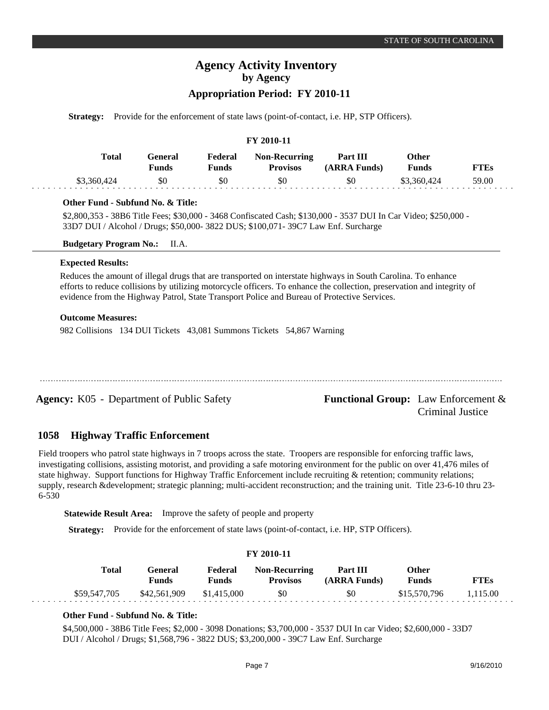## **Appropriation Period: FY 2010-11**

**Strategy:** Provide for the enforcement of state laws (point-of-contact, i.e. HP, STP Officers).

#### **FY 2010-11 General Funds**  \$0 **Other Funds** \$3,360,424 **Federal Funds**  \$0 **FTEs** 59.00 **Total**  \$3,360,424 **Non-Recurring Provisos** \$0 **Part III (ARRA Funds)** \$0

### **Other Fund - Subfund No. & Title:**

\$2,800,353 - 38B6 Title Fees; \$30,000 - 3468 Confiscated Cash; \$130,000 - 3537 DUI In Car Video; \$250,000 - 33D7 DUI / Alcohol / Drugs; \$50,000- 3822 DUS; \$100,071- 39C7 Law Enf. Surcharge

### **Budgetary Program No.:** II.A.

#### **Expected Results:**

Reduces the amount of illegal drugs that are transported on interstate highways in South Carolina. To enhance efforts to reduce collisions by utilizing motorcycle officers. To enhance the collection, preservation and integrity of evidence from the Highway Patrol, State Transport Police and Bureau of Protective Services.

#### **Outcome Measures:**

982 Collisions 134 DUI Tickets 43,081 Summons Tickets 54,867 Warning

**Agency:** K05 - Department of Public Safety **- Functional Group:** Law Enforcement &

Criminal Justice

#### **Highway Traffic Enforcement 1058**

Field troopers who patrol state highways in 7 troops across the state. Troopers are responsible for enforcing traffic laws, investigating collisions, assisting motorist, and providing a safe motoring environment for the public on over 41,476 miles of state highway. Support functions for Highway Traffic Enforcement include recruiting & retention; community relations; supply, research &development; strategic planning; multi-accident reconstruction; and the training unit. Title 23-6-10 thru 23- 6-530

**Statewide Result Area:** Improve the safety of people and property

**Strategy:** Provide for the enforcement of state laws (point-of-contact, i.e. HP, STP Officers).

|              |                         |                         | FY 2010-11                              |                          |                              |             |  |
|--------------|-------------------------|-------------------------|-----------------------------------------|--------------------------|------------------------------|-------------|--|
| <b>Total</b> | General<br><b>Funds</b> | Federal<br><b>Funds</b> | <b>Non-Recurring</b><br><b>Provisos</b> | Part III<br>(ARRA Funds) | <b>Other</b><br><b>Funds</b> | <b>FTEs</b> |  |
| \$59,547,705 | \$42,561,909            | \$1,415,000             | <b>SO</b>                               | \$0                      | \$15,570,796                 | 1.115.00    |  |

### **Other Fund - Subfund No. & Title:**

\$4,500,000 - 38B6 Title Fees; \$2,000 - 3098 Donations; \$3,700,000 - 3537 DUI In car Video; \$2,600,000 - 33D7 DUI / Alcohol / Drugs; \$1,568,796 - 3822 DUS; \$3,200,000 - 39C7 Law Enf. Surcharge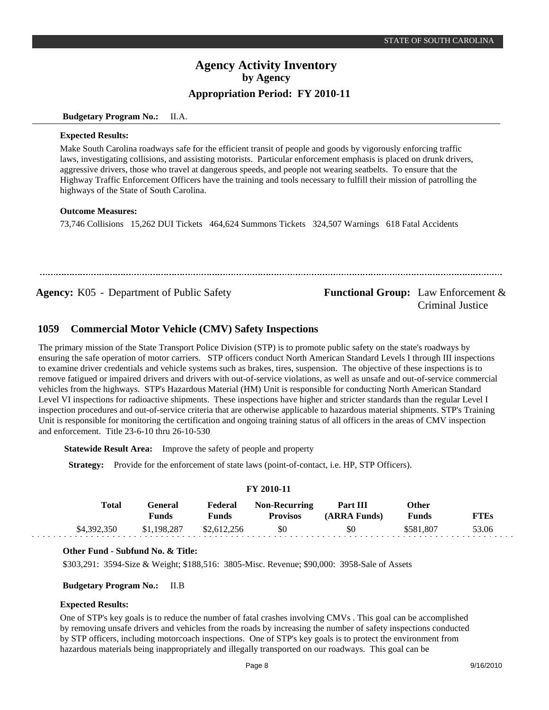#### **Budgetary Program No.:** II.A.

#### **Expected Results:**

Make South Carolina roadways safe for the efficient transit of people and goods by vigorously enforcing traffic laws, investigating collisions, and assisting motorists. Particular enforcement emphasis is placed on drunk drivers, aggressive drivers, those who travel at dangerous speeds, and people not wearing seatbelts. To ensure that the Highway Traffic Enforcement Officers have the training and tools necessary to fulfill their mission of patrolling the highways of the State of South Carolina.

#### **Outcome Measures:**

73,746 Collisions 15,262 DUI Tickets 464,624 Summons Tickets 324,507 Warnings 618 Fatal Accidents

**Agency:** K05 - Department of Public Safety **- Functional Group:** Law Enforcement &

Criminal Justice

#### **Commercial Motor Vehicle (CMV) Safety Inspections 1059**

The primary mission of the State Transport Police Division (STP) is to promote public safety on the state's roadways by ensuring the safe operation of motor carriers. STP officers conduct North American Standard Levels I through III inspections to examine driver credentials and vehicle systems such as brakes, tires, suspension. The objective of these inspections is to remove fatigued or impaired drivers and drivers with out-of-service violations, as well as unsafe and out-of-service commercial vehicles from the highways. STP's Hazardous Material (HM) Unit is responsible for conducting North American Standard Level VI inspections for radioactive shipments. These inspections have higher and stricter standards than the regular Level I inspection procedures and out-of-service criteria that are otherwise applicable to hazardous material shipments. STP's Training Unit is responsible for monitoring the certification and ongoing training status of all officers in the areas of CMV inspection and enforcement. Title 23-6-10 thru 26-10-530

**Statewide Result Area:** Improve the safety of people and property

**Strategy:** Provide for the enforcement of state laws (point-of-contact, i.e. HP, STP Officers).

|             |                                |                         | FY 2010-11                              |                          |                              |             |  |
|-------------|--------------------------------|-------------------------|-----------------------------------------|--------------------------|------------------------------|-------------|--|
| Total       | <b>General</b><br><b>Funds</b> | Federal<br><b>Funds</b> | <b>Non-Recurring</b><br><b>Provisos</b> | Part III<br>(ARRA Funds) | <b>Other</b><br><b>Funds</b> | <b>FTEs</b> |  |
| \$4.392.350 | \$1,198,287                    | \$2,612,256             | \$0                                     | \$0                      | \$581.807                    | 53.06       |  |

**FY 2010-11**

#### **Other Fund - Subfund No. & Title:**

\$303,291: 3594-Size & Weight; \$188,516: 3805-Misc. Revenue; \$90,000: 3958-Sale of Assets

**Budgetary Program No.:** II.B

### **Expected Results:**

One of STP's key goals is to reduce the number of fatal crashes involving CMVs . This goal can be accomplished by removing unsafe drivers and vehicles from the roads by increasing the number of safety inspections conducted by STP officers, including motorcoach inspections. One of STP's key goals is to protect the environment from hazardous materials being inappropriately and illegally transported on our roadways. This goal can be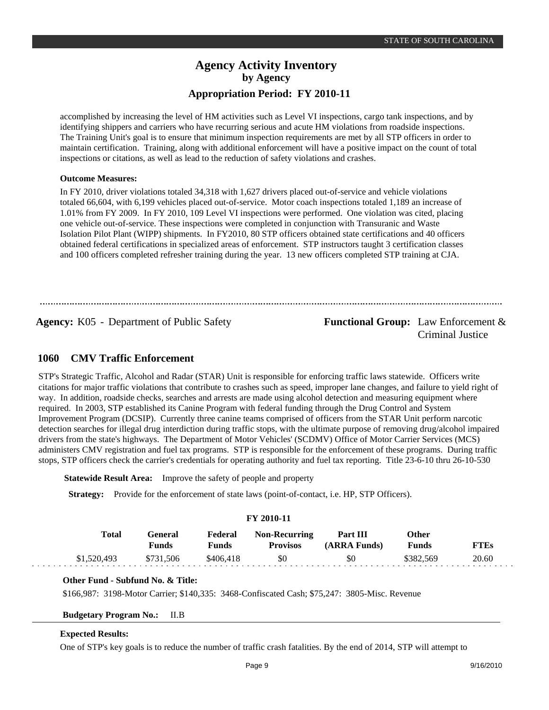accomplished by increasing the level of HM activities such as Level VI inspections, cargo tank inspections, and by identifying shippers and carriers who have recurring serious and acute HM violations from roadside inspections. The Training Unit's goal is to ensure that minimum inspection requirements are met by all STP officers in order to maintain certification. Training, along with additional enforcement will have a positive impact on the count of total inspections or citations, as well as lead to the reduction of safety violations and crashes.

### **Outcome Measures:**

In FY 2010, driver violations totaled 34,318 with 1,627 drivers placed out-of-service and vehicle violations totaled 66,604, with 6,199 vehicles placed out-of-service. Motor coach inspections totaled 1,189 an increase of 1.01% from FY 2009. In FY 2010, 109 Level VI inspections were performed. One violation was cited, placing one vehicle out-of-service. These inspections were completed in conjunction with Transuranic and Waste Isolation Pilot Plant (WIPP) shipments. In FY2010, 80 STP officers obtained state certifications and 40 officers obtained federal certifications in specialized areas of enforcement. STP instructors taught 3 certification classes and 100 officers completed refresher training during the year. 13 new officers completed STP training at CJA.

**Agency:** K05 - Department of Public Safety **- Functional Group:** Law Enforcement &

Criminal Justice

#### **CMV Traffic Enforcement 1060**

STP's Strategic Traffic, Alcohol and Radar (STAR) Unit is responsible for enforcing traffic laws statewide. Officers write citations for major traffic violations that contribute to crashes such as speed, improper lane changes, and failure to yield right of way. In addition, roadside checks, searches and arrests are made using alcohol detection and measuring equipment where required. In 2003, STP established its Canine Program with federal funding through the Drug Control and System Improvement Program (DCSIP). Currently three canine teams comprised of officers from the STAR Unit perform narcotic detection searches for illegal drug interdiction during traffic stops, with the ultimate purpose of removing drug/alcohol impaired drivers from the state's highways. The Department of Motor Vehicles' (SCDMV) Office of Motor Carrier Services (MCS) administers CMV registration and fuel tax programs. STP is responsible for the enforcement of these programs. During traffic stops, STP officers check the carrier's credentials for operating authority and fuel tax reporting. Title 23-6-10 thru 26-10-530

**Statewide Result Area:** Improve the safety of people and property

**Strategy:** Provide for the enforcement of state laws (point-of-contact, i.e. HP, STP Officers).

#### **FY 2010-11**

| Total       | General)<br>Funds | Federal<br>Funds | <b>Non-Recurring</b><br><b>Provisos</b> | Part III<br>(ARRA Funds) | Other<br><b>Funds</b> | FTEs  |  |
|-------------|-------------------|------------------|-----------------------------------------|--------------------------|-----------------------|-------|--|
| \$1,520,493 | \$731,506         | \$406.418        | \$0                                     | \$0                      | \$382.569             | 20.60 |  |

### **Other Fund - Subfund No. & Title:**

\$166,987: 3198-Motor Carrier; \$140,335: 3468-Confiscated Cash; \$75,247: 3805-Misc. Revenue

### **Budgetary Program No.:** II.B

#### **Expected Results:**

One of STP's key goals is to reduce the number of traffic crash fatalities. By the end of 2014, STP will attempt to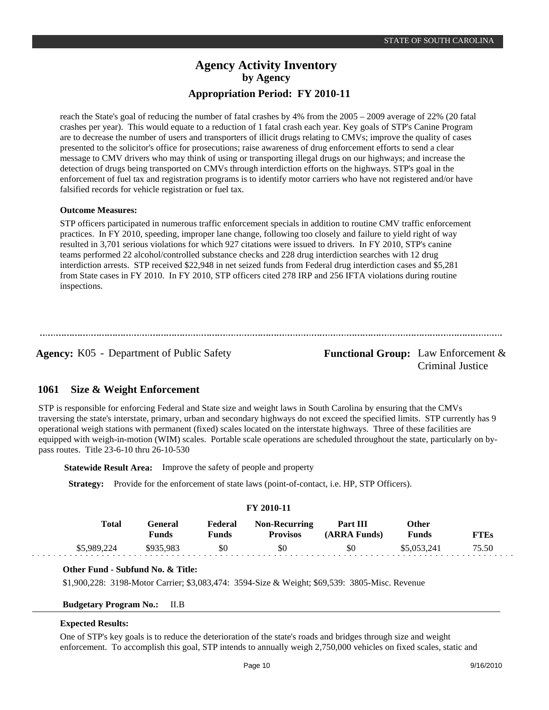reach the State's goal of reducing the number of fatal crashes by 4% from the 2005 – 2009 average of 22% (20 fatal crashes per year). This would equate to a reduction of 1 fatal crash each year. Key goals of STP's Canine Program are to decrease the number of users and transporters of illicit drugs relating to CMVs; improve the quality of cases presented to the solicitor's office for prosecutions; raise awareness of drug enforcement efforts to send a clear message to CMV drivers who may think of using or transporting illegal drugs on our highways; and increase the detection of drugs being transported on CMVs through interdiction efforts on the highways. STP's goal in the enforcement of fuel tax and registration programs is to identify motor carriers who have not registered and/or have falsified records for vehicle registration or fuel tax.

#### **Outcome Measures:**

STP officers participated in numerous traffic enforcement specials in addition to routine CMV traffic enforcement practices. In FY 2010, speeding, improper lane change, following too closely and failure to yield right of way resulted in 3,701 serious violations for which 927 citations were issued to drivers. In FY 2010, STP's canine teams performed 22 alcohol/controlled substance checks and 228 drug interdiction searches with 12 drug interdiction arrests. STP received \$22,948 in net seized funds from Federal drug interdiction cases and \$5,281 from State cases in FY 2010. In FY 2010, STP officers cited 278 IRP and 256 IFTA violations during routine inspections.

**Agency:** K05 - Department of Public Safety **- Functional Group:** Law Enforcement & Criminal Justice

#### **Size & Weight Enforcement 1061**

STP is responsible for enforcing Federal and State size and weight laws in South Carolina by ensuring that the CMVs traversing the state's interstate, primary, urban and secondary highways do not exceed the specified limits. STP currently has 9 operational weigh stations with permanent (fixed) scales located on the interstate highways. Three of these facilities are equipped with weigh-in-motion (WIM) scales. Portable scale operations are scheduled throughout the state, particularly on bypass routes. Title 23-6-10 thru 26-10-530

**Statewide Result Area:** Improve the safety of people and property

**Strategy:** Provide for the enforcement of state laws (point-of-contact, i.e. HP, STP Officers).

|             |                         |                         | <b>FY 2010-11</b>                       |                          |                |             |  |
|-------------|-------------------------|-------------------------|-----------------------------------------|--------------------------|----------------|-------------|--|
| Total       | General<br><b>Funds</b> | Federal<br><b>Funds</b> | <b>Non-Recurring</b><br><b>Provisos</b> | Part III<br>(ARRA Funds) | Other<br>Funds | <b>FTEs</b> |  |
| \$5,989,224 | \$935,983               | \$0                     | \$0                                     | \$0                      | \$5,053,241    | 75.50       |  |

#### **Other Fund - Subfund No. & Title:**

\$1,900,228: 3198-Motor Carrier; \$3,083,474: 3594-Size & Weight; \$69,539: 3805-Misc. Revenue

**Budgetary Program No.:** II.B

### **Expected Results:**

One of STP's key goals is to reduce the deterioration of the state's roads and bridges through size and weight enforcement. To accomplish this goal, STP intends to annually weigh 2,750,000 vehicles on fixed scales, static and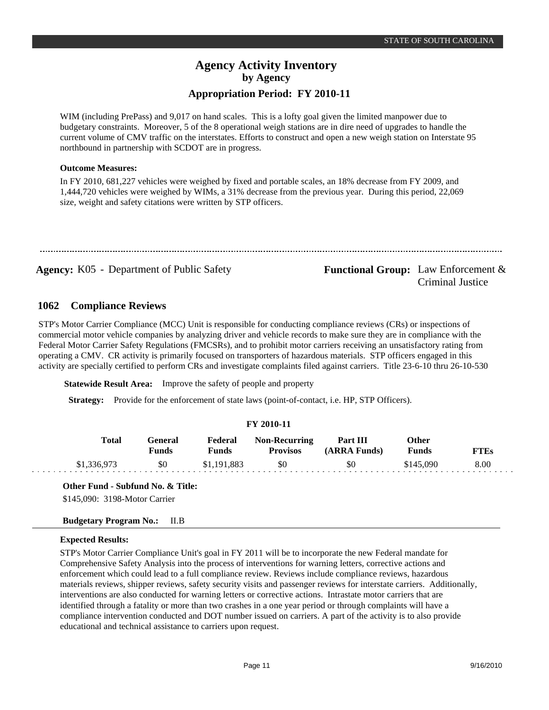WIM (including PrePass) and 9,017 on hand scales. This is a lofty goal given the limited manpower due to budgetary constraints. Moreover, 5 of the 8 operational weigh stations are in dire need of upgrades to handle the current volume of CMV traffic on the interstates. Efforts to construct and open a new weigh station on Interstate 95 northbound in partnership with SCDOT are in progress.

### **Outcome Measures:**

In FY 2010, 681,227 vehicles were weighed by fixed and portable scales, an 18% decrease from FY 2009, and 1,444,720 vehicles were weighed by WIMs, a 31% decrease from the previous year. During this period, 22,069 size, weight and safety citations were written by STP officers.

**Agency:** K05 - Department of Public Safety **- Functional Group:** Law Enforcement &

Criminal Justice

#### **Compliance Reviews 1062**

STP's Motor Carrier Compliance (MCC) Unit is responsible for conducting compliance reviews (CRs) or inspections of commercial motor vehicle companies by analyzing driver and vehicle records to make sure they are in compliance with the Federal Motor Carrier Safety Regulations (FMCSRs), and to prohibit motor carriers receiving an unsatisfactory rating from operating a CMV. CR activity is primarily focused on transporters of hazardous materials. STP officers engaged in this activity are specially certified to perform CRs and investigate complaints filed against carriers. Title 23-6-10 thru 26-10-530

**Statewide Result Area:** Improve the safety of people and property

**Strategy:** Provide for the enforcement of state laws (point-of-contact, i.e. HP, STP Officers).

| FY 2010-11  |                         |                  |                                         |                          |                       |             |  |  |  |  |
|-------------|-------------------------|------------------|-----------------------------------------|--------------------------|-----------------------|-------------|--|--|--|--|
| Total       | General<br><b>Funds</b> | Federal<br>Funds | <b>Non-Recurring</b><br><b>Provisos</b> | Part III<br>(ARRA Funds) | Other<br><b>Funds</b> | <b>FTEs</b> |  |  |  |  |
| \$1,336,973 | \$0                     | \$1,191,883      | -\$0                                    | \$0                      | \$145,090             | 8.00        |  |  |  |  |

### **Other Fund - Subfund No. & Title:**

\$145,090: 3198-Motor Carrier

### **Budgetary Program No.:** II.B

### **Expected Results:**

STP's Motor Carrier Compliance Unit's goal in FY 2011 will be to incorporate the new Federal mandate for Comprehensive Safety Analysis into the process of interventions for warning letters, corrective actions and enforcement which could lead to a full compliance review. Reviews include compliance reviews, hazardous materials reviews, shipper reviews, safety security visits and passenger reviews for interstate carriers. Additionally, interventions are also conducted for warning letters or corrective actions. Intrastate motor carriers that are identified through a fatality or more than two crashes in a one year period or through complaints will have a compliance intervention conducted and DOT number issued on carriers. A part of the activity is to also provide educational and technical assistance to carriers upon request.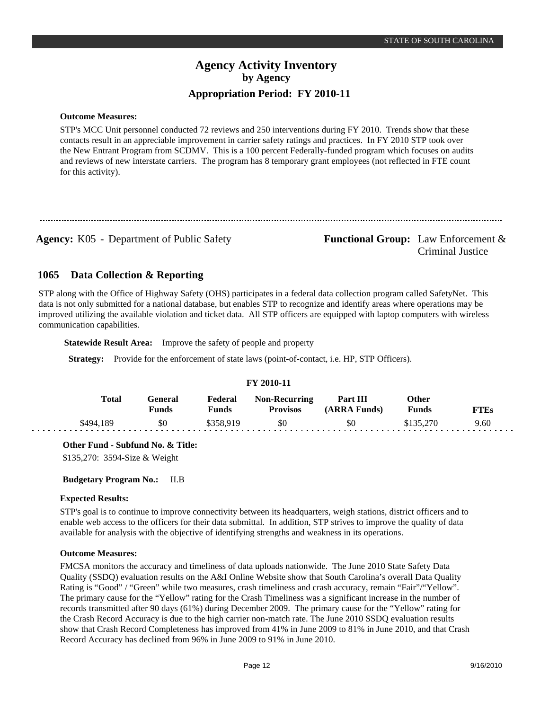#### **Outcome Measures:**

STP's MCC Unit personnel conducted 72 reviews and 250 interventions during FY 2010. Trends show that these contacts result in an appreciable improvement in carrier safety ratings and practices. In FY 2010 STP took over the New Entrant Program from SCDMV. This is a 100 percent Federally-funded program which focuses on audits and reviews of new interstate carriers. The program has 8 temporary grant employees (not reflected in FTE count for this activity).

Agency: K05 - Department of Public Safety **Functional Group:** Law Enforcement & Criminal Justice

#### **Data Collection & Reporting 1065**

STP along with the Office of Highway Safety (OHS) participates in a federal data collection program called SafetyNet. This data is not only submitted for a national database, but enables STP to recognize and identify areas where operations may be improved utilizing the available violation and ticket data. All STP officers are equipped with laptop computers with wireless communication capabilities.

**Statewide Result Area:** Improve the safety of people and property

**Strategy:** Provide for the enforcement of state laws (point-of-contact, i.e. HP, STP Officers).

| FY 2010-11 |              |                  |                  |                                         |                          |                       |             |
|------------|--------------|------------------|------------------|-----------------------------------------|--------------------------|-----------------------|-------------|
|            | <b>Total</b> | General<br>Funds | Federal<br>Funds | <b>Non-Recurring</b><br><b>Provisos</b> | Part III<br>(ARRA Funds) | Other<br><b>Funds</b> | <b>FTEs</b> |
|            | \$494.189    | \$0              | \$358.919        | \$0                                     | \$0                      | \$135,270             | 9.60        |

### **Other Fund - Subfund No. & Title:**

\$135,270: 3594-Size & Weight

**Budgetary Program No.:** II.B

### **Expected Results:**

STP's goal is to continue to improve connectivity between its headquarters, weigh stations, district officers and to enable web access to the officers for their data submittal. In addition, STP strives to improve the quality of data available for analysis with the objective of identifying strengths and weakness in its operations.

### **Outcome Measures:**

FMCSA monitors the accuracy and timeliness of data uploads nationwide. The June 2010 State Safety Data Quality (SSDQ) evaluation results on the A&I Online Website show that South Carolina's overall Data Quality Rating is "Good" / "Green" while two measures, crash timeliness and crash accuracy, remain "Fair"/"Yellow". The primary cause for the "Yellow" rating for the Crash Timeliness was a significant increase in the number of records transmitted after 90 days (61%) during December 2009. The primary cause for the "Yellow" rating for the Crash Record Accuracy is due to the high carrier non-match rate. The June 2010 SSDQ evaluation results show that Crash Record Completeness has improved from 41% in June 2009 to 81% in June 2010, and that Crash Record Accuracy has declined from 96% in June 2009 to 91% in June 2010.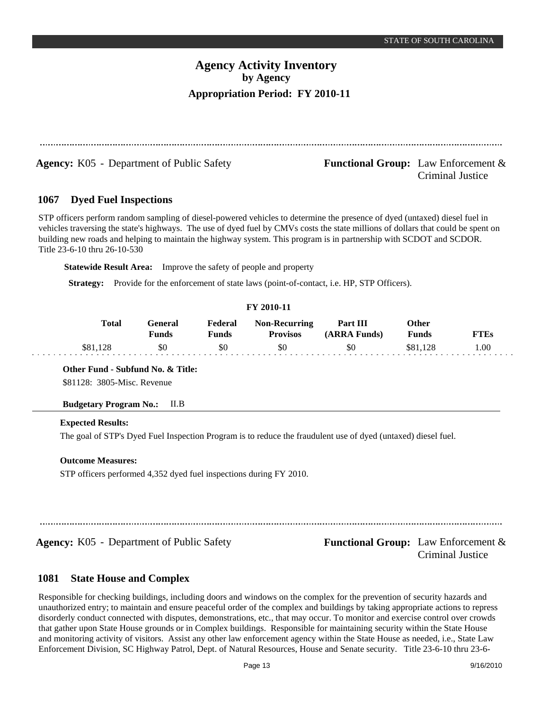**Agency:** K05 - Department of Public Safety **- Functional Group:** Law Enforcement &

Criminal Justice

#### **Dyed Fuel Inspections 1067**

STP officers perform random sampling of diesel-powered vehicles to determine the presence of dyed (untaxed) diesel fuel in vehicles traversing the state's highways. The use of dyed fuel by CMVs costs the state millions of dollars that could be spent on building new roads and helping to maintain the highway system. This program is in partnership with SCDOT and SCDOR. Title 23-6-10 thru 26-10-530

**Statewide Result Area:** Improve the safety of people and property

Strategy: Provide for the enforcement of state laws (point-of-contact, i.e. HP, STP Officers).

### **FY 2010-11**

| <b>Total</b> | Feneral<br><b>Tunds</b> | Federal<br>$T$ unds | <b>Non-Recurring</b><br><b>Provisos</b> | Part III<br>(ARRA Funds) | <b>Other</b><br>प <b>unds</b> | $^{\circ}$ TEs |
|--------------|-------------------------|---------------------|-----------------------------------------|--------------------------|-------------------------------|----------------|
| \$81,128     | \$0                     | \$0                 | \$0                                     | \$0                      | \$81,128                      | 00.            |

**Other Fund - Subfund No. & Title:**

\$81128: 3805-Misc. Revenue

### **Budgetary Program No.:** II.B

### **Expected Results:**

The goal of STP's Dyed Fuel Inspection Program is to reduce the fraudulent use of dyed (untaxed) diesel fuel.

### **Outcome Measures:**

STP officers performed 4,352 dyed fuel inspections during FY 2010.

**Agency:** K05 - Department of Public Safety **- Functional Group:** Law Enforcement &

Criminal Justice

#### **State House and Complex 1081**

Responsible for checking buildings, including doors and windows on the complex for the prevention of security hazards and unauthorized entry; to maintain and ensure peaceful order of the complex and buildings by taking appropriate actions to repress disorderly conduct connected with disputes, demonstrations, etc., that may occur. To monitor and exercise control over crowds that gather upon State House grounds or in Complex buildings. Responsible for maintaining security within the State House and monitoring activity of visitors. Assist any other law enforcement agency within the State House as needed, i.e., State Law Enforcement Division, SC Highway Patrol, Dept. of Natural Resources, House and Senate security. Title 23-6-10 thru 23-6-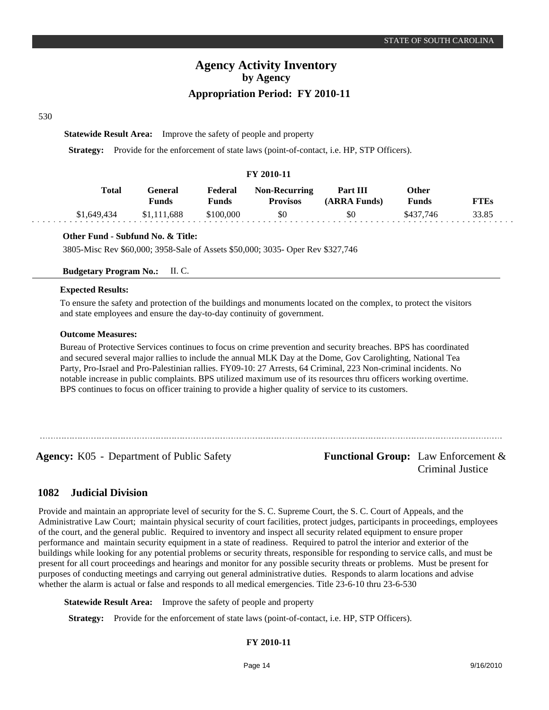530

**Statewide Result Area:** Improve the safety of people and property

Strategy: Provide for the enforcement of state laws (point-of-contact, i.e. HP, STP Officers).

#### **FY 2010-11**

| Total       | Feneral<br>Funds | Federal<br>Funds | <b>Non-Recurring</b><br><b>Provisos</b> | Part III<br>(ARRA Funds) | Other<br>Funds | FTEs  |
|-------------|------------------|------------------|-----------------------------------------|--------------------------|----------------|-------|
| \$1,649,434 | \$1,111,688      | \$100,000        | \$0                                     | \$0                      | \$437.746      | 33.85 |

### **Other Fund - Subfund No. & Title:**

3805-Misc Rev \$60,000; 3958-Sale of Assets \$50,000; 3035- Oper Rev \$327,746

### **Budgetary Program No.:** II. C.

#### **Expected Results:**

To ensure the safety and protection of the buildings and monuments located on the complex, to protect the visitors and state employees and ensure the day-to-day continuity of government.

#### **Outcome Measures:**

Bureau of Protective Services continues to focus on crime prevention and security breaches. BPS has coordinated and secured several major rallies to include the annual MLK Day at the Dome, Gov Carolighting, National Tea Party, Pro-Israel and Pro-Palestinian rallies. FY09-10: 27 Arrests, 64 Criminal, 223 Non-criminal incidents. No notable increase in public complaints. BPS utilized maximum use of its resources thru officers working overtime. BPS continues to focus on officer training to provide a higher quality of service to its customers.

Agency: K05 - Department of Public Safety **Functional Group:** Law Enforcement & Criminal Justice

#### **Judicial Division 1082**

Provide and maintain an appropriate level of security for the S. C. Supreme Court, the S. C. Court of Appeals, and the Administrative Law Court; maintain physical security of court facilities, protect judges, participants in proceedings, employees of the court, and the general public. Required to inventory and inspect all security related equipment to ensure proper performance and maintain security equipment in a state of readiness. Required to patrol the interior and exterior of the buildings while looking for any potential problems or security threats, responsible for responding to service calls, and must be present for all court proceedings and hearings and monitor for any possible security threats or problems. Must be present for purposes of conducting meetings and carrying out general administrative duties. Responds to alarm locations and advise whether the alarm is actual or false and responds to all medical emergencies. Title 23-6-10 thru 23-6-530

**Statewide Result Area:** Improve the safety of people and property

**Strategy:** Provide for the enforcement of state laws (point-of-contact, i.e. HP, STP Officers).

### **FY 2010-11**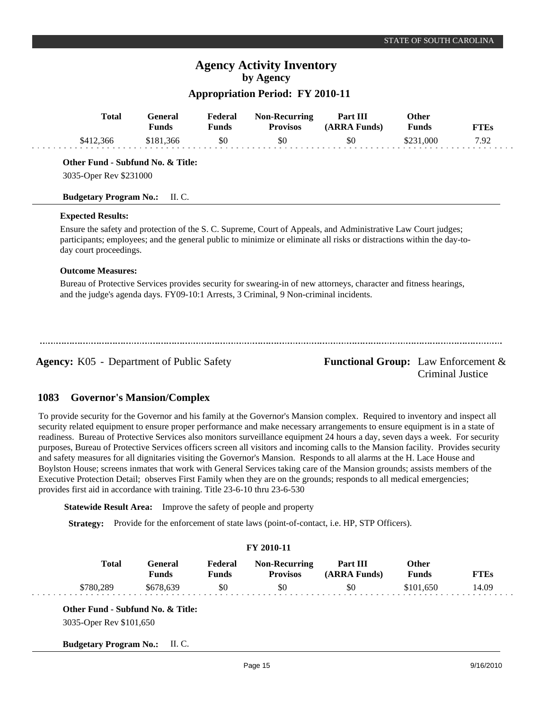## **Appropriation Period: FY 2010-11**

| <b>Total</b><br>\$412,366                                                                                                                                                                                                                                                                                                                                                                                                                                                                                                                                                                                                                                                                                                                                                                                                                                                                                              | General<br><b>Funds</b><br>\$181,366 | Federal<br><b>Funds</b><br>\$0 | <b>Non-Recurring</b><br><b>Provisos</b><br>\$0                                        | Part III<br>(ARRA Funds)<br>\$0                                                                                                                                                                                                        | Other<br><b>Funds</b> | \$231,000        | <b>FTEs</b><br>7.92 |
|------------------------------------------------------------------------------------------------------------------------------------------------------------------------------------------------------------------------------------------------------------------------------------------------------------------------------------------------------------------------------------------------------------------------------------------------------------------------------------------------------------------------------------------------------------------------------------------------------------------------------------------------------------------------------------------------------------------------------------------------------------------------------------------------------------------------------------------------------------------------------------------------------------------------|--------------------------------------|--------------------------------|---------------------------------------------------------------------------------------|----------------------------------------------------------------------------------------------------------------------------------------------------------------------------------------------------------------------------------------|-----------------------|------------------|---------------------|
| Other Fund - Subfund No. & Title:                                                                                                                                                                                                                                                                                                                                                                                                                                                                                                                                                                                                                                                                                                                                                                                                                                                                                      |                                      |                                |                                                                                       |                                                                                                                                                                                                                                        |                       |                  |                     |
| 3035-Oper Rev \$231000                                                                                                                                                                                                                                                                                                                                                                                                                                                                                                                                                                                                                                                                                                                                                                                                                                                                                                 |                                      |                                |                                                                                       |                                                                                                                                                                                                                                        |                       |                  |                     |
| <b>Budgetary Program No.:</b>                                                                                                                                                                                                                                                                                                                                                                                                                                                                                                                                                                                                                                                                                                                                                                                                                                                                                          | II. C.                               |                                |                                                                                       |                                                                                                                                                                                                                                        |                       |                  |                     |
| <b>Expected Results:</b>                                                                                                                                                                                                                                                                                                                                                                                                                                                                                                                                                                                                                                                                                                                                                                                                                                                                                               |                                      |                                |                                                                                       |                                                                                                                                                                                                                                        |                       |                  |                     |
| day court proceedings.                                                                                                                                                                                                                                                                                                                                                                                                                                                                                                                                                                                                                                                                                                                                                                                                                                                                                                 |                                      |                                |                                                                                       | Ensure the safety and protection of the S. C. Supreme, Court of Appeals, and Administrative Law Court judges;<br>participants; employees; and the general public to minimize or eliminate all risks or distractions within the day-to- |                       |                  |                     |
| <b>Outcome Measures:</b>                                                                                                                                                                                                                                                                                                                                                                                                                                                                                                                                                                                                                                                                                                                                                                                                                                                                                               |                                      |                                |                                                                                       |                                                                                                                                                                                                                                        |                       |                  |                     |
|                                                                                                                                                                                                                                                                                                                                                                                                                                                                                                                                                                                                                                                                                                                                                                                                                                                                                                                        |                                      |                                | and the judge's agenda days. FY09-10:1 Arrests, 3 Criminal, 9 Non-criminal incidents. | Bureau of Protective Services provides security for swearing-in of new attorneys, character and fitness hearings,                                                                                                                      |                       |                  |                     |
| <b>Agency:</b> K05 - Department of Public Safety                                                                                                                                                                                                                                                                                                                                                                                                                                                                                                                                                                                                                                                                                                                                                                                                                                                                       |                                      |                                |                                                                                       | <b>Functional Group:</b> Law Enforcement &                                                                                                                                                                                             |                       | Criminal Justice |                     |
| 1083                                                                                                                                                                                                                                                                                                                                                                                                                                                                                                                                                                                                                                                                                                                                                                                                                                                                                                                   | <b>Governor's Mansion/Complex</b>    |                                |                                                                                       |                                                                                                                                                                                                                                        |                       |                  |                     |
| To provide security for the Governor and his family at the Governor's Mansion complex. Required to inventory and inspect all<br>security related equipment to ensure proper performance and make necessary arrangements to ensure equipment is in a state of<br>readiness. Bureau of Protective Services also monitors surveillance equipment 24 hours a day, seven days a week. For security<br>purposes, Bureau of Protective Services officers screen all visitors and incoming calls to the Mansion facility. Provides security<br>and safety measures for all dignitaries visiting the Governor's Mansion. Responds to all alarms at the H. Lace House and<br>Boylston House; screens inmates that work with General Services taking care of the Mansion grounds; assists members of the<br>Executive Protection Detail; observes First Family when they are on the grounds; responds to all medical emergencies; |                                      |                                |                                                                                       |                                                                                                                                                                                                                                        |                       |                  |                     |

provides first aid in accordance with training. Title 23-6-10 thru 23-6-530

**Statewide Result Area:** Improve the safety of people and property

Strategy: Provide for the enforcement of state laws (point-of-contact, i.e. HP, STP Officers).

| <b>Total</b> | General<br><b>Funds</b> | Federal<br>Funds | <b>Non-Recurring</b><br><b>Provisos</b> | Part III<br>(ARRA Funds) | <b>Other</b><br><b>Funds</b> | <b>FTEs</b> |
|--------------|-------------------------|------------------|-----------------------------------------|--------------------------|------------------------------|-------------|
| \$780,289    | \$678,639               | \$0              | \$0                                     | \$0                      | \$101.650                    | 14.09       |

3035-Oper Rev \$101,650

**Budgetary Program No.:** II. C.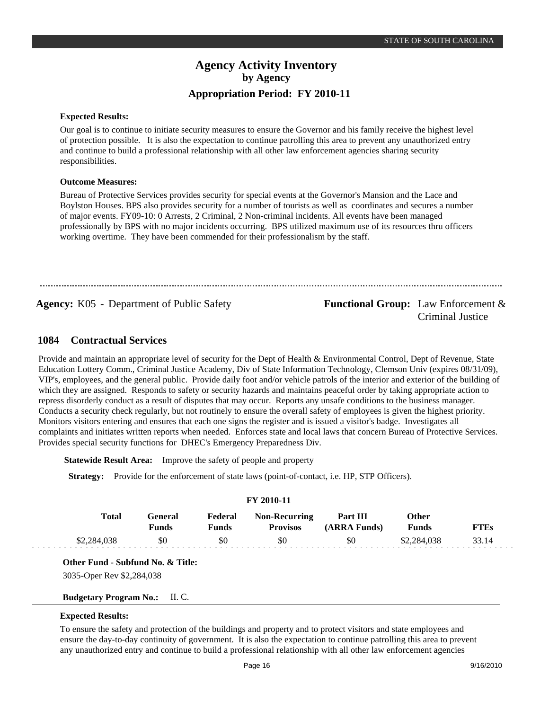#### **Expected Results:**

Our goal is to continue to initiate security measures to ensure the Governor and his family receive the highest level of protection possible. It is also the expectation to continue patrolling this area to prevent any unauthorized entry and continue to build a professional relationship with all other law enforcement agencies sharing security responsibilities.

#### **Outcome Measures:**

Bureau of Protective Services provides security for special events at the Governor's Mansion and the Lace and Boylston Houses. BPS also provides security for a number of tourists as well as coordinates and secures a number of major events. FY09-10: 0 Arrests, 2 Criminal, 2 Non-criminal incidents. All events have been managed professionally by BPS with no major incidents occurring. BPS utilized maximum use of its resources thru officers working overtime. They have been commended for their professionalism by the staff.

**Agency:** K05 - Department of Public Safety **- Functional Group:** Law Enforcement &

Criminal Justice

#### **Contractual Services 1084**

Provide and maintain an appropriate level of security for the Dept of Health & Environmental Control, Dept of Revenue, State Education Lottery Comm., Criminal Justice Academy, Div of State Information Technology, Clemson Univ (expires 08/31/09), VIP's, employees, and the general public. Provide daily foot and/or vehicle patrols of the interior and exterior of the building of which they are assigned. Responds to safety or security hazards and maintains peaceful order by taking appropriate action to repress disorderly conduct as a result of disputes that may occur. Reports any unsafe conditions to the business manager. Conducts a security check regularly, but not routinely to ensure the overall safety of employees is given the highest priority. Monitors visitors entering and ensures that each one signs the register and is issued a visitor's badge. Investigates all complaints and initiates written reports when needed. Enforces state and local laws that concern Bureau of Protective Services. Provides special security functions for DHEC's Emergency Preparedness Div.

**Statewide Result Area:** Improve the safety of people and property

**Strategy:** Provide for the enforcement of state laws (point-of-contact, i.e. HP, STP Officers).

|              |                         |                  | <b>FY 2010-11</b>                       |                          |                       |             |
|--------------|-------------------------|------------------|-----------------------------------------|--------------------------|-----------------------|-------------|
| <b>Total</b> | General<br><b>Funds</b> | Federal<br>Funds | <b>Non-Recurring</b><br><b>Provisos</b> | Part III<br>(ARRA Funds) | Other<br><b>Funds</b> | <b>FTEs</b> |
| \$2,284,038  | \$0                     | \$0              | \$0                                     | \$0                      | \$2,284,038           | 33.14       |

#### **Other Fund - Subfund No. & Title:**

3035-Oper Rev \$2,284,038

### **Budgetary Program No.:** II. C.

#### **Expected Results:**

To ensure the safety and protection of the buildings and property and to protect visitors and state employees and ensure the day-to-day continuity of government. It is also the expectation to continue patrolling this area to prevent any unauthorized entry and continue to build a professional relationship with all other law enforcement agencies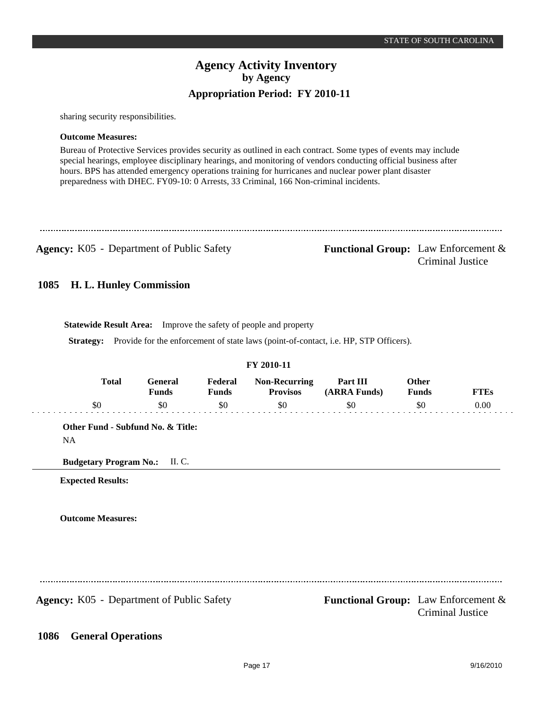sharing security responsibilities.

#### **Outcome Measures:**

Bureau of Protective Services provides security as outlined in each contract. Some types of events may include special hearings, employee disciplinary hearings, and monitoring of vendors conducting official business after hours. BPS has attended emergency operations training for hurricanes and nuclear power plant disaster preparedness with DHEC. FY09-10: 0 Arrests, 33 Criminal, 166 Non-criminal incidents.

**Agency:** K05 - Department of Public Safety **Functional Group:** Law Enforcement & Criminal Justice

#### **H. L. Hunley Commission 1085**

**Statewide Result Area:** Improve the safety of people and property

**Strategy:** Provide for the enforcement of state laws (point-of-contact, i.e. HP, STP Officers).

|                          |                                         |                                                  | FY 2010-11                              |                                     |                       |             |
|--------------------------|-----------------------------------------|--------------------------------------------------|-----------------------------------------|-------------------------------------|-----------------------|-------------|
|                          | <b>Total</b><br>General<br><b>Funds</b> | Federal<br><b>Funds</b>                          | <b>Non-Recurring</b><br><b>Provisos</b> | Part III<br>(ARRA Funds)            | Other<br><b>Funds</b> | <b>FTEs</b> |
| \$0                      | \$0                                     | \$0                                              | \$0                                     | \$0                                 | \$0                   | 0.00        |
|                          | Other Fund - Subfund No. & Title:       |                                                  |                                         |                                     |                       |             |
| <b>NA</b>                |                                         |                                                  |                                         |                                     |                       |             |
|                          | <b>Budgetary Program No.:</b> II. C.    |                                                  |                                         |                                     |                       |             |
| <b>Expected Results:</b> |                                         |                                                  |                                         |                                     |                       |             |
|                          |                                         |                                                  |                                         |                                     |                       |             |
| <b>Outcome Measures:</b> |                                         |                                                  |                                         |                                     |                       |             |
|                          |                                         |                                                  |                                         |                                     |                       |             |
|                          |                                         |                                                  |                                         |                                     |                       |             |
|                          |                                         |                                                  |                                         |                                     |                       |             |
|                          |                                         |                                                  |                                         |                                     |                       |             |
|                          |                                         | <b>Agency:</b> K05 - Department of Public Safety |                                         | Functional Group: Law Enforcement & | Criminal Justice      |             |

#### **General Operations 1086**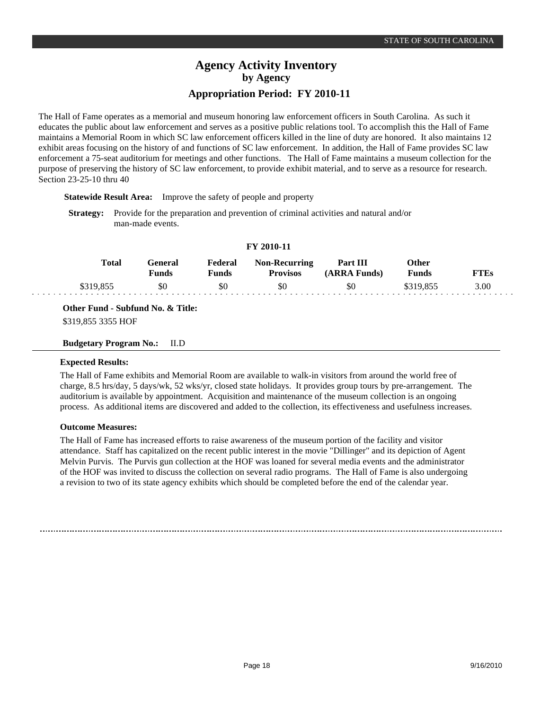The Hall of Fame operates as a memorial and museum honoring law enforcement officers in South Carolina. As such it educates the public about law enforcement and serves as a positive public relations tool. To accomplish this the Hall of Fame maintains a Memorial Room in which SC law enforcement officers killed in the line of duty are honored. It also maintains 12 exhibit areas focusing on the history of and functions of SC law enforcement. In addition, the Hall of Fame provides SC law enforcement a 75-seat auditorium for meetings and other functions. The Hall of Fame maintains a museum collection for the purpose of preserving the history of SC law enforcement, to provide exhibit material, and to serve as a resource for research. Section 23-25-10 thru 40

**Statewide Result Area:** Improve the safety of people and property

#### **FY 2010-11**

| <b>Total</b> | General<br><b>Funds</b> | Federal<br>Funds | <b>Non-Recurring</b><br><b>Provisos</b> | <b>Part III</b><br>(ARRA Funds) | Other<br>Funds | <b>FTEs</b> |
|--------------|-------------------------|------------------|-----------------------------------------|---------------------------------|----------------|-------------|
| 8319.855     | \$0                     | \$0              | \$0                                     | \$0                             |                | 3.00        |

**Other Fund - Subfund No. & Title:** \$319,855 3355 HOF

### **Budgetary Program No.:** II.D

#### **Expected Results:**

The Hall of Fame exhibits and Memorial Room are available to walk-in visitors from around the world free of charge, 8.5 hrs/day, 5 days/wk, 52 wks/yr, closed state holidays. It provides group tours by pre-arrangement. The auditorium is available by appointment. Acquisition and maintenance of the museum collection is an ongoing process. As additional items are discovered and added to the collection, its effectiveness and usefulness increases.

#### **Outcome Measures:**

The Hall of Fame has increased efforts to raise awareness of the museum portion of the facility and visitor attendance. Staff has capitalized on the recent public interest in the movie "Dillinger" and its depiction of Agent Melvin Purvis. The Purvis gun collection at the HOF was loaned for several media events and the administrator of the HOF was invited to discuss the collection on several radio programs. The Hall of Fame is also undergoing a revision to two of its state agency exhibits which should be completed before the end of the calendar year.

**Strategy:** Provide for the preparation and prevention of criminal activities and natural and/or man-made events.